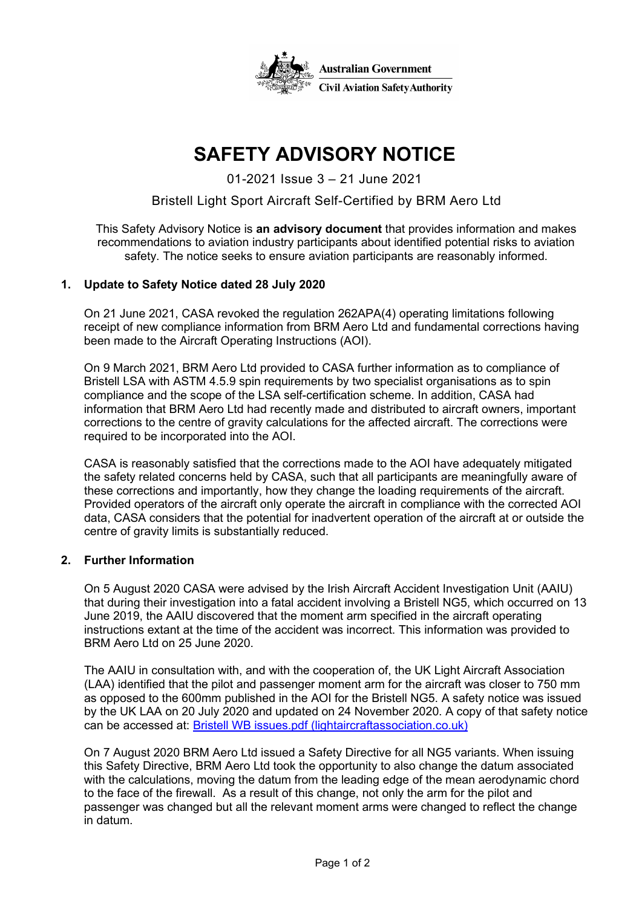

# **SAFETY ADVISORY NOTICE**

01-2021 Issue 3 – 21 June 2021

## Bristell Light Sport Aircraft Self-Certified by BRM Aero Ltd

This Safety Advisory Notice is **an advisory document** that provides information and makes recommendations to aviation industry participants about identified potential risks to aviation safety. The notice seeks to ensure aviation participants are reasonably informed.

### **1. Update to Safety Notice dated 28 July 2020**

On 21 June 2021, CASA revoked the regulation 262APA(4) operating limitations following receipt of new compliance information from BRM Aero Ltd and fundamental corrections having been made to the Aircraft Operating Instructions (AOI).

On 9 March 2021, BRM Aero Ltd provided to CASA further information as to compliance of Bristell LSA with ASTM 4.5.9 spin requirements by two specialist organisations as to spin compliance and the scope of the LSA self-certification scheme. In addition, CASA had information that BRM Aero Ltd had recently made and distributed to aircraft owners, important corrections to the centre of gravity calculations for the affected aircraft. The corrections were required to be incorporated into the AOI.

CASA is reasonably satisfied that the corrections made to the AOI have adequately mitigated the safety related concerns held by CASA, such that all participants are meaningfully aware of these corrections and importantly, how they change the loading requirements of the aircraft. Provided operators of the aircraft only operate the aircraft in compliance with the corrected AOI data, CASA considers that the potential for inadvertent operation of the aircraft at or outside the centre of gravity limits is substantially reduced.

### **2. Further Information**

On 5 August 2020 CASA were advised by the Irish Aircraft Accident Investigation Unit (AAIU) that during their investigation into a fatal accident involving a Bristell NG5, which occurred on 13 June 2019, the AAIU discovered that the moment arm specified in the aircraft operating instructions extant at the time of the accident was incorrect. This information was provided to BRM Aero Ltd on 25 June 2020.

The AAIU in consultation with, and with the cooperation of, the UK Light Aircraft Association (LAA) identified that the pilot and passenger moment arm for the aircraft was closer to 750 mm as opposed to the 600mm published in the AOI for the Bristell NG5. A safety notice was issued by the UK LAA on 20 July 2020 and updated on 24 November 2020. A copy of that safety notice can be accessed at: [Bristell WB issues.pdf \(lightaircraftassociation.co.uk\)](http://www.lightaircraftassociation.co.uk/engineering/Bristell%20WB%20issues.pdf)

On 7 August 2020 BRM Aero Ltd issued a Safety Directive for all NG5 variants. When issuing this Safety Directive, BRM Aero Ltd took the opportunity to also change the datum associated with the calculations, moving the datum from the leading edge of the mean aerodynamic chord to the face of the firewall. As a result of this change, not only the arm for the pilot and passenger was changed but all the relevant moment arms were changed to reflect the change in datum.